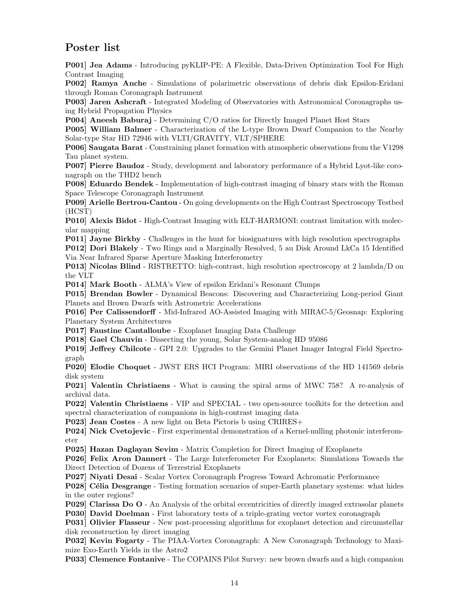## Poster list

P001] Jea Adams - Introducing pyKLIP-PE: A Flexible, Data-Driven Optimization Tool For High Contrast Imaging

P002] Ramya Anche - Simulations of polarimetric observations of debris disk Epsilon-Eridani through Roman Coronagraph Instrument

P003] Jaren Ashcraft - Integrated Modeling of Observatories with Astronomical Coronagraphs using Hybrid Propagation Physics

P004] Aneesh Baburaj - Determining C/O ratios for Directly Imaged Planet Host Stars

P005] William Balmer - Characterization of the L-type Brown Dwarf Companion to the Nearby Solar-type Star HD 72946 with VLTI/GRAVITY, VLT/SPHERE

P006] Saugata Barat - Constraining planet formation with atmospheric observations from the V1298 Tau planet system.

P007] Pierre Baudoz - Study, development and laboratory performance of a Hybrid Lyot-like coronagraph on the THD2 bench

P008] Eduardo Bendek - Implementation of high-contrast imaging of binary stars with the Roman Space Telescope Coronagraph Instrument

P009] Arielle Bertrou-Cantou - On going developments on the High Contrast Spectroscopy Testbed (HCST)

P010] Alexis Bidot - High-Contrast Imaging with ELT-HARMONI: contrast limitation with molecular mapping

P011] Jayne Birkby - Challenges in the hunt for biosignatures with high resolution spectrographs

P012] Dori Blakely - Two Rings and a Marginally Resolved, 5 au Disk Around LkCa 15 Identified Via Near Infrared Sparse Aperture Masking Interferometry

P013] Nicolas Blind - RISTRETTO: high-contrast, high resolution spectroscopy at 2 lambda/D on the VLT

P014] Mark Booth - ALMA's View of epsilon Eridani's Resonant Clumps

P015] Brendan Bowler - Dynamical Beacons: Discovering and Characterizing Long-period Giant Planets and Brown Dwarfs with Astrometric Accelerations

P016] Per Calissendorff - Mid-Infrared AO-Assisted Imaging with MIRAC-5/Geosnap: Exploring Planetary System Architectures

P017] Faustine Cantalloube - Exoplanet Imaging Data Challenge

P018] Gael Chauvin - Dissecting the young, Solar System-analog HD 95086

P019] Jeffrey Chilcote - GPI 2.0: Upgrades to the Gemini Planet Imager Integral Field Spectrograph

P020] Elodie Choquet - JWST ERS HCI Program: MIRI observations of the HD 141569 debris disk system

P021] Valentin Christiaens - What is causing the spiral arms of MWC 758? A re-analysis of archival data.

P022] Valentin Christiaens - VIP and SPECIAL - two open-source toolkits for the detection and spectral characterization of companions in high-contrast imaging data

P023] Jean Costes - A new light on Beta Pictoris b using CRIRES+

P024] Nick Cvetojevic - First experimental demonstration of a Kernel-nulling photonic interferometer

P025] Hazan Daglayan Sevim - Matrix Completion for Direct Imaging of Exoplanets

P026] Felix Aron Dannert - The Large Interferometer For Exoplanets: Simulations Towards the Direct Detection of Dozens of Terrestrial Exoplanets

P027] Niyati Desai - Scalar Vortex Coronagraph Progress Toward Achromatic Performance

**P028** Célia Desgrange - Testing formation scenarios of super-Earth planetary systems: what hides in the outer regions?

P029] Clarissa Do O - An Analysis of the orbital eccentricities of directly imaged extrasolar planets P030] David Doelman - First laboratory tests of a triple-grating vector vortex coronagraph

P031] Olivier Flasseur - New post-processing algorithms for exoplanet detection and circumstellar disk reconstruction by direct imaging

P032] Kevin Fogarty - The PIAA-Vortex Coronagraph: A New Coronagraph Technology to Maximize Exo-Earth Yields in the Astro2

P033] Clemence Fontanive - The COPAINS Pilot Survey: new brown dwarfs and a high companion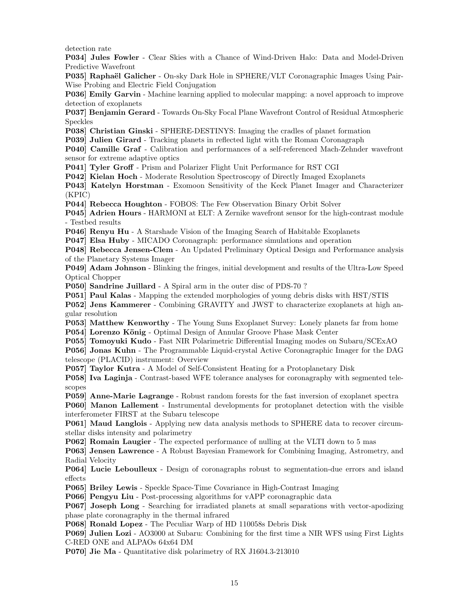detection rate

P034] Jules Fowler - Clear Skies with a Chance of Wind-Driven Halo: Data and Model-Driven Predictive Wavefront

P035] Raphaël Galicher - On-sky Dark Hole in SPHERE/VLT Coronagraphic Images Using Pair-Wise Probing and Electric Field Conjugation

P036] Emily Garvin - Machine learning applied to molecular mapping: a novel approach to improve detection of exoplanets

P037] Benjamin Gerard - Towards On-Sky Focal Plane Wavefront Control of Residual Atmospheric Speckles

P038] Christian Ginski - SPHERE-DESTINYS: Imaging the cradles of planet formation

P039] Julien Girard - Tracking planets in reflected light with the Roman Coronagraph

P040] Camille Graf - Calibration and performances of a self-referenced Mach-Zehnder wavefront sensor for extreme adaptive optics

P041] Tyler Groff - Prism and Polarizer Flight Unit Performance for RST CGI

P042] Kielan Hoch - Moderate Resolution Spectroscopy of Directly Imaged Exoplanets

P043] Katelyn Horstman - Exomoon Sensitivity of the Keck Planet Imager and Characterizer (KPIC)

P044] Rebecca Houghton - FOBOS: The Few Observation Binary Orbit Solver

P045] Adrien Hours - HARMONI at ELT: A Zernike wavefront sensor for the high-contrast module - Testbed results

P046] Renyu Hu - A Starshade Vision of the Imaging Search of Habitable Exoplanets

P047] Elsa Huby - MICADO Coronagraph: performance simulations and operation

P048] Rebecca Jensen-Clem - An Updated Preliminary Optical Design and Performance analysis of the Planetary Systems Imager

P049] Adam Johnson - Blinking the fringes, initial development and results of the Ultra-Low Speed Optical Chopper

P050] Sandrine Juillard - A Spiral arm in the outer disc of PDS-70 ?

P051] Paul Kalas - Mapping the extended morphologies of young debris disks with HST/STIS

P052] Jens Kammerer - Combining GRAVITY and JWST to characterize exoplanets at high angular resolution

P053] Matthew Kenworthy - The Young Suns Exoplanet Survey: Lonely planets far from home P054] Lorenzo König - Optimal Design of Annular Groove Phase Mask Center

**P055] Tomoyuki Kudo** - Fast NIR Polarimetric Differential Imaging modes on Subaru/SCExAO

P056] Jonas Kuhn - The Programmable Liquid-crystal Active Coronagraphic Imager for the DAG telescope (PLACID) instrument: Overview

P057] Taylor Kutra - A Model of Self-Consistent Heating for a Protoplanetary Disk

P058] Iva Laginja - Contrast-based WFE tolerance analyses for coronagraphy with segmented telescopes

P059] Anne-Marie Lagrange - Robust random forests for the fast inversion of exoplanet spectra

P060] Manon Lallement - Instrumental developments for protoplanet detection with the visible interferometer FIRST at the Subaru telescope

P061] Maud Langlois - Applying new data analysis methods to SPHERE data to recover circumstellar disks intensity and polarimetry

P062] Romain Laugier - The expected performance of nulling at the VLTI down to 5 mas

P063] Jensen Lawrence - A Robust Bayesian Framework for Combining Imaging, Astrometry, and Radial Velocity

P064] Lucie Leboulleux - Design of coronagraphs robust to segmentation-due errors and island effects

P065] Briley Lewis - Speckle Space-Time Covariance in High-Contrast Imaging

P066] Pengyu Liu - Post-processing algorithms for vAPP coronagraphic data

P067] Joseph Long - Searching for irradiated planets at small separations with vector-apodizing phase plate coronagraphy in the thermal infrared

P068] Ronald Lopez - The Peculiar Warp of HD 110058s Debris Disk

P069] Julien Lozi - AO3000 at Subaru: Combining for the first time a NIR WFS using First Lights C-RED ONE and ALPAOs 64x64 DM

P070] Jie Ma - Quantitative disk polarimetry of RX J1604.3-213010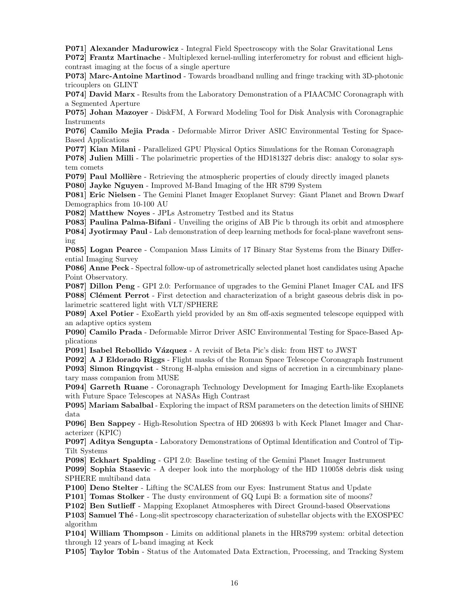P071] Alexander Madurowicz - Integral Field Spectroscopy with the Solar Gravitational Lens

**P072** Frantz Martinache - Multiplexed kernel-nulling interferometry for robust and efficient highcontrast imaging at the focus of a single aperture

P073] Marc-Antoine Martinod - Towards broadband nulling and fringe tracking with 3D-photonic tricouplers on GLINT

P074] David Marx - Results from the Laboratory Demonstration of a PIAACMC Coronagraph with a Segmented Aperture

P075] Johan Mazoyer - DiskFM, A Forward Modeling Tool for Disk Analysis with Coronagraphic Instruments

P076] Camilo Mejia Prada - Deformable Mirror Driver ASIC Environmental Testing for Space-Based Applications

P077] Kian Milani - Parallelized GPU Physical Optics Simulations for the Roman Coronagraph

P078] Julien Milli - The polarimetric properties of the HD181327 debris disc: analogy to solar system comets

**P079] Paul Mollière** - Retrieving the atmospheric properties of cloudy directly imaged planets P080] Jayke Nguyen - Improved M-Band Imaging of the HR 8799 System

P081] Eric Nielsen - The Gemini Planet Imager Exoplanet Survey: Giant Planet and Brown Dwarf Demographics from 10-100 AU

P082] Matthew Noyes - JPLs Astrometry Testbed and its Status

P083] Paulina Palma-Bifani - Unveiling the origins of AB Pic b through its orbit and atmosphere P084] Jyotirmay Paul - Lab demonstration of deep learning methods for focal-plane wavefront sensing

**P085**] Logan Pearce - Companion Mass Limits of 17 Binary Star Systems from the Binary Differential Imaging Survey

P086] Anne Peck - Spectral follow-up of astrometrically selected planet host candidates using Apache Point Observatory.

P087] Dillon Peng - GPI 2.0: Performance of upgrades to the Gemini Planet Imager CAL and IFS **P088**] Clément Perrot - First detection and characterization of a bright gaseous debris disk in polarimetric scattered light with VLT/SPHERE

P089] Axel Potier - ExoEarth yield provided by an 8m off-axis segmented telescope equipped with an adaptive optics system

P090] Camilo Prada - Deformable Mirror Driver ASIC Environmental Testing for Space-Based Applications

**P091**] Isabel Rebollido Vázquez - A revisit of Beta Pic's disk: from HST to JWST

P092] A J Eldorado Riggs - Flight masks of the Roman Space Telescope Coronagraph Instrument P093] Simon Ringqvist - Strong H-alpha emission and signs of accretion in a circumbinary planetary mass companion from MUSE

P094] Garreth Ruane - Coronagraph Technology Development for Imaging Earth-like Exoplanets with Future Space Telescopes at NASAs High Contrast

P095] Mariam Sabalbal - Exploring the impact of RSM parameters on the detection limits of SHINE data

P096] Ben Sappey - High-Resolution Spectra of HD 206893 b with Keck Planet Imager and Characterizer (KPIC)

P097] Aditya Sengupta - Laboratory Demonstrations of Optimal Identification and Control of Tip-Tilt Systems

P098] Eckhart Spalding - GPI 2.0: Baseline testing of the Gemini Planet Imager Instrument

P099] Sophia Stasevic - A deeper look into the morphology of the HD 110058 debris disk using SPHERE multiband data

P100] Deno Stelter - Lifting the SCALES from our Eyes: Instrument Status and Update

P101] Tomas Stolker - The dusty environment of GQ Lupi B: a formation site of moons?

P102] Ben Sutlieff - Mapping Exoplanet Atmospheres with Direct Ground-based Observations

**P103** Samuel The - Long-slit spectroscopy characterization of substellar objects with the EXOSPEC algorithm

P104] William Thompson - Limits on additional planets in the HR8799 system: orbital detection through 12 years of L-band imaging at Keck

P105] Taylor Tobin - Status of the Automated Data Extraction, Processing, and Tracking System